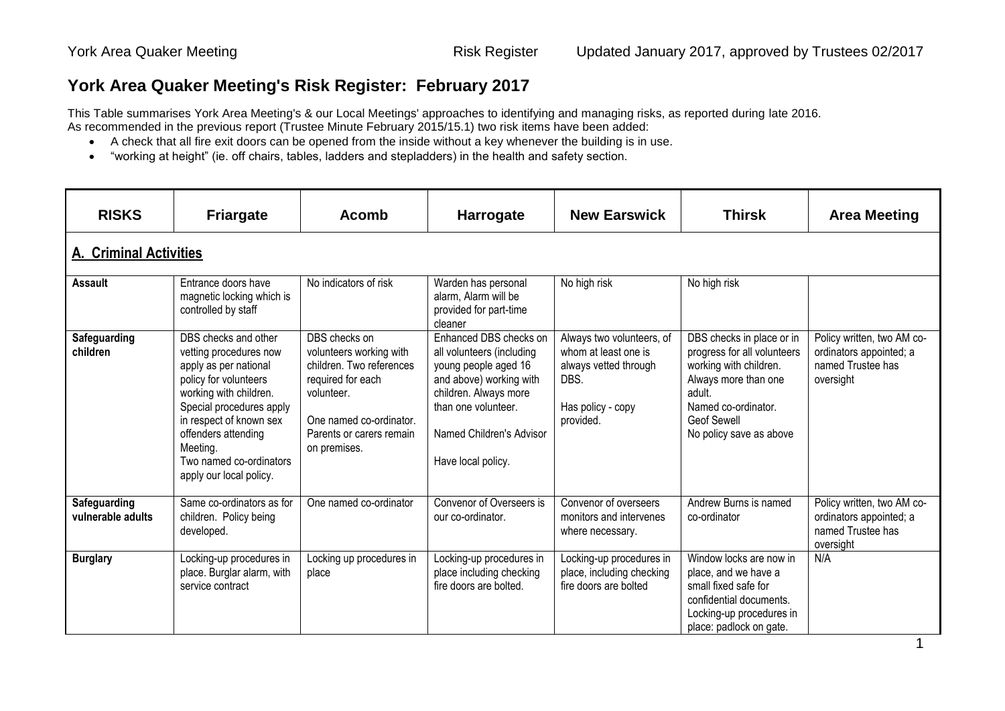## **York Area Quaker Meeting's Risk Register: February 2017**

This Table summarises York Area Meeting's & our Local Meetings' approaches to identifying and managing risks, as reported during late 2016. As recommended in the previous report (Trustee Minute February 2015/15.1) two risk items have been added:

- A check that all fire exit doors can be opened from the inside without a key whenever the building is in use.
- "working at height" (ie. off chairs, tables, ladders and stepladders) in the health and safety section.

| <b>RISKS</b>                             | <b>Friargate</b>                                                                                                                                                                                                                                                           | <b>Acomb</b>                                                                                                                                                                   | <b>Harrogate</b>                                                                                                                                                                                         | <b>New Earswick</b>                                                                                                  | <b>Thirsk</b>                                                                                                                                                                                | <b>Area Meeting</b>                                                                     |
|------------------------------------------|----------------------------------------------------------------------------------------------------------------------------------------------------------------------------------------------------------------------------------------------------------------------------|--------------------------------------------------------------------------------------------------------------------------------------------------------------------------------|----------------------------------------------------------------------------------------------------------------------------------------------------------------------------------------------------------|----------------------------------------------------------------------------------------------------------------------|----------------------------------------------------------------------------------------------------------------------------------------------------------------------------------------------|-----------------------------------------------------------------------------------------|
| <b>A. Criminal Activities</b>            |                                                                                                                                                                                                                                                                            |                                                                                                                                                                                |                                                                                                                                                                                                          |                                                                                                                      |                                                                                                                                                                                              |                                                                                         |
| <b>Assault</b>                           | Entrance doors have<br>magnetic locking which is<br>controlled by staff                                                                                                                                                                                                    | No indicators of risk                                                                                                                                                          | Warden has personal<br>alarm, Alarm will be<br>provided for part-time<br>cleaner                                                                                                                         | No high risk                                                                                                         | No high risk                                                                                                                                                                                 |                                                                                         |
| Safeguarding<br>children                 | DBS checks and other<br>vetting procedures now<br>apply as per national<br>policy for volunteers<br>working with children.<br>Special procedures apply<br>in respect of known sex<br>offenders attending<br>Meeting.<br>Two named co-ordinators<br>apply our local policy. | DBS checks on<br>volunteers working with<br>children. Two references<br>required for each<br>volunteer.<br>One named co-ordinator.<br>Parents or carers remain<br>on premises. | Enhanced DBS checks on<br>all volunteers (including<br>young people aged 16<br>and above) working with<br>children. Always more<br>than one volunteer.<br>Named Children's Advisor<br>Have local policy. | Always two volunteers, of<br>whom at least one is<br>always vetted through<br>DBS.<br>Has policy - copy<br>provided. | DBS checks in place or in<br>progress for all volunteers<br>working with children.<br>Always more than one<br>adult.<br>Named co-ordinator.<br><b>Geof Sewell</b><br>No policy save as above | Policy written, two AM co-<br>ordinators appointed; a<br>named Trustee has<br>oversight |
| <b>Safeguarding</b><br>vulnerable adults | Same co-ordinators as for<br>children. Policy being<br>developed.                                                                                                                                                                                                          | One named co-ordinator                                                                                                                                                         | Convenor of Overseers is<br>our co-ordinator.                                                                                                                                                            | Convenor of overseers<br>monitors and intervenes<br>where necessary.                                                 | Andrew Burns is named<br>co-ordinator                                                                                                                                                        | Policy written, two AM co-<br>ordinators appointed; a<br>named Trustee has<br>oversight |
| <b>Burglary</b>                          | Locking-up procedures in<br>place. Burglar alarm, with<br>service contract                                                                                                                                                                                                 | Locking up procedures in<br>place                                                                                                                                              | Locking-up procedures in<br>place including checking<br>fire doors are bolted.                                                                                                                           | Locking-up procedures in<br>place, including checking<br>fire doors are bolted                                       | Window locks are now in<br>place, and we have a<br>small fixed safe for<br>confidential documents.<br>Locking-up procedures in<br>place: padlock on gate.                                    | N/A                                                                                     |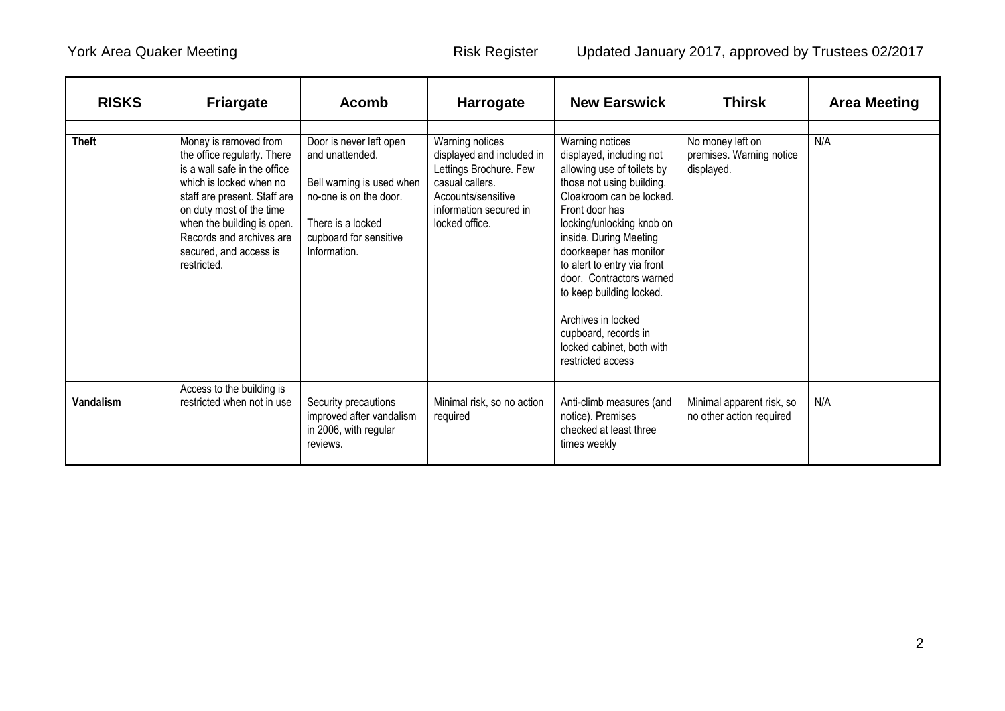| <b>RISKS</b> | <b>Friargate</b>                                                                                                                                                                                                                                                               | <b>Acomb</b>                                                                                                                                                     | Harrogate                                                                                                                                                   | <b>New Earswick</b>                                                                                                                                                                                                                                                                                                                                                                                                          | <b>Thirsk</b>                                              | <b>Area Meeting</b> |
|--------------|--------------------------------------------------------------------------------------------------------------------------------------------------------------------------------------------------------------------------------------------------------------------------------|------------------------------------------------------------------------------------------------------------------------------------------------------------------|-------------------------------------------------------------------------------------------------------------------------------------------------------------|------------------------------------------------------------------------------------------------------------------------------------------------------------------------------------------------------------------------------------------------------------------------------------------------------------------------------------------------------------------------------------------------------------------------------|------------------------------------------------------------|---------------------|
| <b>Theft</b> | Money is removed from<br>the office regularly. There<br>is a wall safe in the office<br>which is locked when no<br>staff are present. Staff are<br>on duty most of the time<br>when the building is open.<br>Records and archives are<br>secured, and access is<br>restricted. | Door is never left open<br>and unattended.<br>Bell warning is used when<br>no-one is on the door.<br>There is a locked<br>cupboard for sensitive<br>Information. | Warning notices<br>displayed and included in<br>Lettings Brochure. Few<br>casual callers.<br>Accounts/sensitive<br>information secured in<br>locked office. | Warning notices<br>displayed, including not<br>allowing use of toilets by<br>those not using building.<br>Cloakroom can be locked.<br>Front door has<br>locking/unlocking knob on<br>inside. During Meeting<br>doorkeeper has monitor<br>to alert to entry via front<br>door. Contractors warned<br>to keep building locked.<br>Archives in locked<br>cupboard, records in<br>locked cabinet, both with<br>restricted access | No money left on<br>premises. Warning notice<br>displayed. | N/A                 |
| Vandalism    | Access to the building is<br>restricted when not in use                                                                                                                                                                                                                        | Security precautions<br>improved after vandalism<br>in 2006, with regular<br>reviews.                                                                            | Minimal risk, so no action<br>required                                                                                                                      | Anti-climb measures (and<br>notice). Premises<br>checked at least three<br>times weekly                                                                                                                                                                                                                                                                                                                                      | Minimal apparent risk, so<br>no other action required      | N/A                 |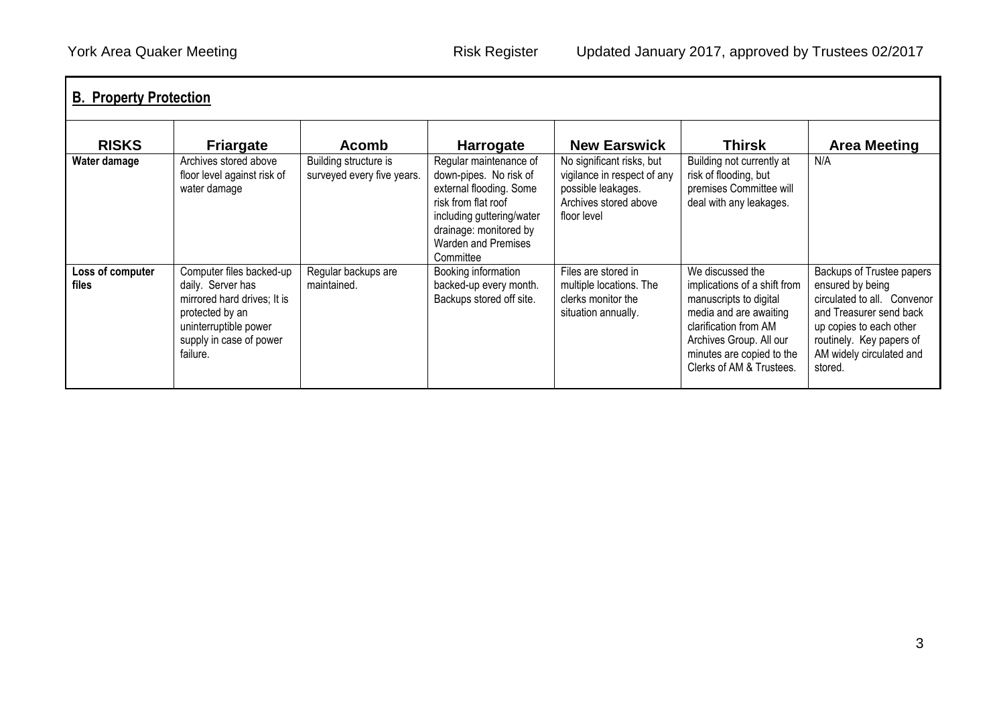| <b>RISKS</b>              | <b>Friargate</b>                                                                                                                                                | <b>Acomb</b>                                        | <b>Harrogate</b>                                                                                                                                                                                     | <b>New Earswick</b>                                                                                                    | <b>Thirsk</b>                                                                                                                                                                                                     | <b>Area Meeting</b>                                                                                                                                                                                   |
|---------------------------|-----------------------------------------------------------------------------------------------------------------------------------------------------------------|-----------------------------------------------------|------------------------------------------------------------------------------------------------------------------------------------------------------------------------------------------------------|------------------------------------------------------------------------------------------------------------------------|-------------------------------------------------------------------------------------------------------------------------------------------------------------------------------------------------------------------|-------------------------------------------------------------------------------------------------------------------------------------------------------------------------------------------------------|
| Water damage              | Archives stored above<br>floor level against risk of<br>water damage                                                                                            | Building structure is<br>surveyed every five years. | Regular maintenance of<br>down-pipes. No risk of<br>external flooding. Some<br>risk from flat roof<br>including guttering/water<br>drainage: monitored by<br><b>Warden and Premises</b><br>Committee | No significant risks, but<br>vigilance in respect of any<br>possible leakages.<br>Archives stored above<br>floor level | Building not currently at<br>risk of flooding, but<br>premises Committee will<br>deal with any leakages.                                                                                                          | N/A                                                                                                                                                                                                   |
| Loss of computer<br>files | Computer files backed-up<br>daily. Server has<br>mirrored hard drives; It is<br>protected by an<br>uninterruptible power<br>supply in case of power<br>failure. | Regular backups are<br>maintained.                  | Booking information<br>backed-up every month.<br>Backups stored off site.                                                                                                                            | Files are stored in<br>multiple locations. The<br>clerks monitor the<br>situation annually.                            | We discussed the<br>implications of a shift from<br>manuscripts to digital<br>media and are awaiting<br>clarification from AM<br>Archives Group. All our<br>minutes are copied to the<br>Clerks of AM & Trustees. | Backups of Trustee papers<br>ensured by being<br>circulated to all. Convenor<br>and Treasurer send back<br>up copies to each other<br>routinely. Key papers of<br>AM widely circulated and<br>stored. |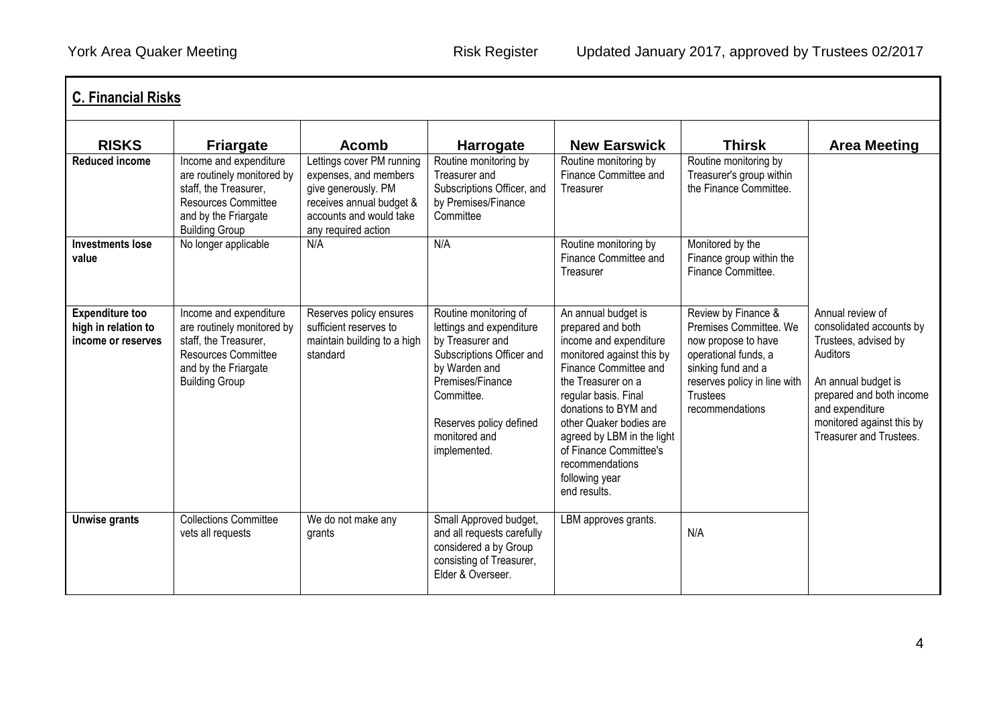| <b>C. Financial Risks</b><br><b>RISKS</b>                           |                                                                                                                                                                                  | Acomb                                                                                                                                                   |                                                                                                                                                                                                                   | <b>New Earswick</b>                                                                                                                                                                                                                                                                                                                    | <b>Thirsk</b>                                                                                                                                                                            | <b>Area Meeting</b>                                                                                                                                                                                            |
|---------------------------------------------------------------------|----------------------------------------------------------------------------------------------------------------------------------------------------------------------------------|---------------------------------------------------------------------------------------------------------------------------------------------------------|-------------------------------------------------------------------------------------------------------------------------------------------------------------------------------------------------------------------|----------------------------------------------------------------------------------------------------------------------------------------------------------------------------------------------------------------------------------------------------------------------------------------------------------------------------------------|------------------------------------------------------------------------------------------------------------------------------------------------------------------------------------------|----------------------------------------------------------------------------------------------------------------------------------------------------------------------------------------------------------------|
| <b>Reduced income</b>                                               | <b>Friargate</b><br>Income and expenditure<br>are routinely monitored by<br>staff, the Treasurer,<br><b>Resources Committee</b><br>and by the Friargate<br><b>Building Group</b> | Lettings cover PM running<br>expenses, and members<br>give generously. PM<br>receives annual budget &<br>accounts and would take<br>any required action | <b>Harrogate</b><br>Routine monitoring by<br>Treasurer and<br>Subscriptions Officer, and<br>by Premises/Finance<br>Committee                                                                                      | Routine monitoring by<br>Finance Committee and<br>Treasurer                                                                                                                                                                                                                                                                            | Routine monitoring by<br>Treasurer's group within<br>the Finance Committee.                                                                                                              |                                                                                                                                                                                                                |
| <b>Investments lose</b><br>value                                    | No longer applicable                                                                                                                                                             | N/A                                                                                                                                                     | N/A                                                                                                                                                                                                               | Routine monitoring by<br>Finance Committee and<br>Treasurer                                                                                                                                                                                                                                                                            | Monitored by the<br>Finance group within the<br>Finance Committee.                                                                                                                       |                                                                                                                                                                                                                |
| <b>Expenditure too</b><br>high in relation to<br>income or reserves | Income and expenditure<br>are routinely monitored by<br>staff, the Treasurer,<br><b>Resources Committee</b><br>and by the Friargate<br><b>Building Group</b>                     | Reserves policy ensures<br>sufficient reserves to<br>maintain building to a high<br>standard                                                            | Routine monitoring of<br>lettings and expenditure<br>by Treasurer and<br>Subscriptions Officer and<br>by Warden and<br>Premises/Finance<br>Committee.<br>Reserves policy defined<br>monitored and<br>implemented. | An annual budget is<br>prepared and both<br>income and expenditure<br>monitored against this by<br>Finance Committee and<br>the Treasurer on a<br>regular basis. Final<br>donations to BYM and<br>other Quaker bodies are<br>agreed by LBM in the light<br>of Finance Committee's<br>recommendations<br>following year<br>end results. | Review by Finance &<br>Premises Committee, We<br>now propose to have<br>operational funds, a<br>sinking fund and a<br>reserves policy in line with<br><b>Trustees</b><br>recommendations | Annual review of<br>consolidated accounts by<br>Trustees, advised by<br>Auditors<br>An annual budget is<br>prepared and both income<br>and expenditure<br>monitored against this by<br>Treasurer and Trustees. |
| Unwise grants                                                       | <b>Collections Committee</b><br>vets all requests                                                                                                                                | We do not make any<br>grants                                                                                                                            | Small Approved budget,<br>and all requests carefully<br>considered a by Group<br>consisting of Treasurer,<br>Elder & Overseer.                                                                                    | LBM approves grants.                                                                                                                                                                                                                                                                                                                   | N/A                                                                                                                                                                                      |                                                                                                                                                                                                                |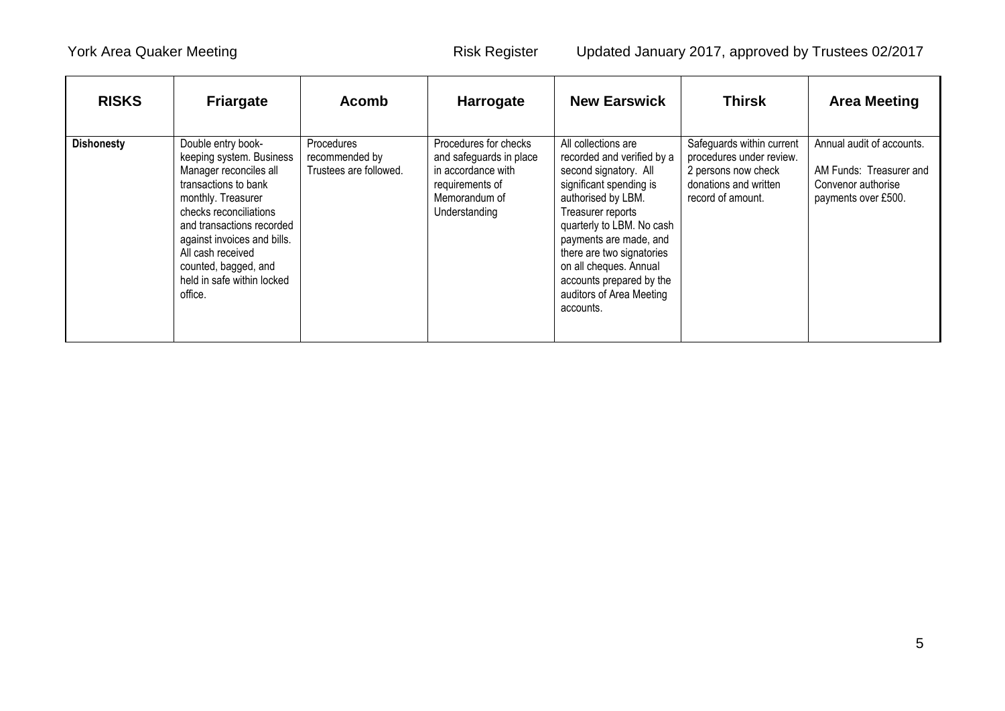| <b>RISKS</b>      | <b>Friargate</b>                                                                                                                                                                                                                                                                                   | <b>Acomb</b>                                                  | <b>Harrogate</b>                                                                                                            | <b>New Earswick</b>                                                                                                                                                                                                                                                                                                                 | <b>Thirsk</b>                                                                                                              | <b>Area Meeting</b>                                                                               |
|-------------------|----------------------------------------------------------------------------------------------------------------------------------------------------------------------------------------------------------------------------------------------------------------------------------------------------|---------------------------------------------------------------|-----------------------------------------------------------------------------------------------------------------------------|-------------------------------------------------------------------------------------------------------------------------------------------------------------------------------------------------------------------------------------------------------------------------------------------------------------------------------------|----------------------------------------------------------------------------------------------------------------------------|---------------------------------------------------------------------------------------------------|
| <b>Dishonesty</b> | Double entry book-<br>keeping system. Business<br>Manager reconciles all<br>transactions to bank<br>monthly. Treasurer<br>checks reconciliations<br>and transactions recorded<br>against invoices and bills.<br>All cash received<br>counted, bagged, and<br>held in safe within locked<br>office. | <b>Procedures</b><br>recommended by<br>Trustees are followed. | Procedures for checks<br>and safeguards in place<br>in accordance with<br>requirements of<br>Memorandum of<br>Understanding | All collections are<br>recorded and verified by a<br>second signatory. All<br>significant spending is<br>authorised by LBM.<br>Treasurer reports<br>quarterly to LBM. No cash<br>payments are made, and<br>there are two signatories<br>on all cheques. Annual<br>accounts prepared by the<br>auditors of Area Meeting<br>accounts. | Safeguards within current<br>procedures under review.<br>2 persons now check<br>donations and written<br>record of amount. | Annual audit of accounts.<br>AM Funds: Treasurer and<br>Convenor authorise<br>payments over £500. |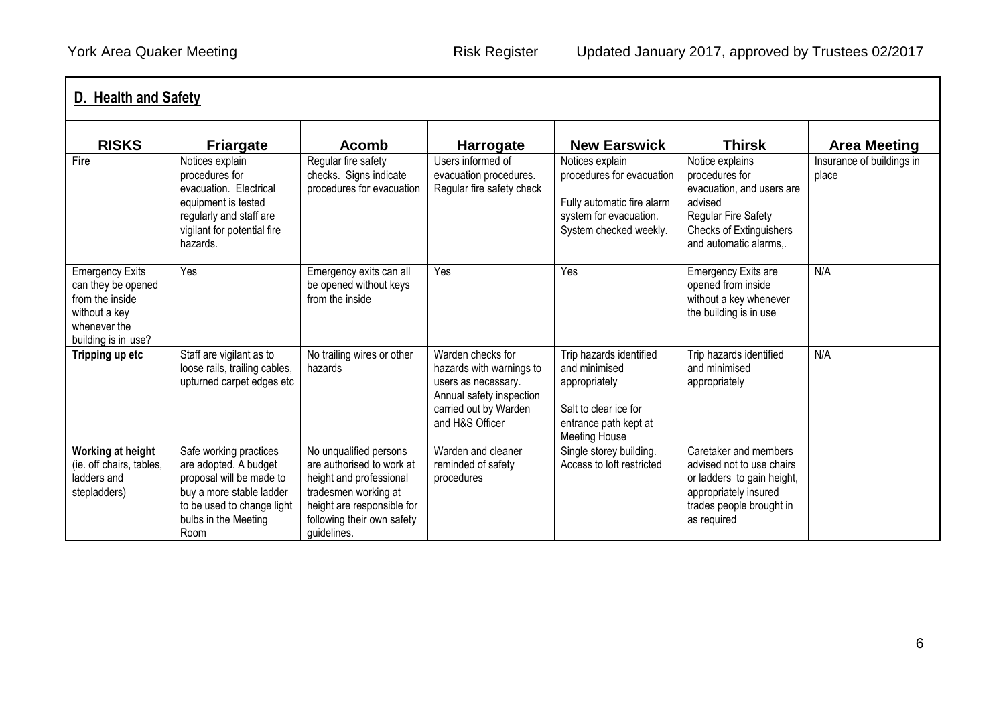|                                                                                                                         | D. Health and Safety                                                                                                                                                  |                                                                                                                                                                                   |                                                                                                                                              |                                                                                                                                     |                                                                                                                                                                   |                                    |  |  |
|-------------------------------------------------------------------------------------------------------------------------|-----------------------------------------------------------------------------------------------------------------------------------------------------------------------|-----------------------------------------------------------------------------------------------------------------------------------------------------------------------------------|----------------------------------------------------------------------------------------------------------------------------------------------|-------------------------------------------------------------------------------------------------------------------------------------|-------------------------------------------------------------------------------------------------------------------------------------------------------------------|------------------------------------|--|--|
| <b>RISKS</b>                                                                                                            | <b>Friargate</b>                                                                                                                                                      | <b>Acomb</b>                                                                                                                                                                      | <b>Harrogate</b>                                                                                                                             | <b>New Earswick</b>                                                                                                                 | <b>Thirsk</b>                                                                                                                                                     | <b>Area Meeting</b>                |  |  |
| Fire                                                                                                                    | Notices explain<br>procedures for<br>evacuation. Electrical<br>equipment is tested<br>regularly and staff are<br>vigilant for potential fire<br>hazards.              | Regular fire safety<br>checks. Signs indicate<br>procedures for evacuation                                                                                                        | Users informed of<br>evacuation procedures.<br>Regular fire safety check                                                                     | Notices explain<br>procedures for evacuation<br>Fully automatic fire alarm<br>system for evacuation.<br>System checked weekly.      | Notice explains<br>procedures for<br>evacuation, and users are<br>advised<br><b>Regular Fire Safety</b><br><b>Checks of Extinguishers</b><br>and automatic alarms | Insurance of buildings in<br>place |  |  |
| <b>Emergency Exits</b><br>can they be opened<br>from the inside<br>without a key<br>whenever the<br>building is in use? | Yes                                                                                                                                                                   | Emergency exits can all<br>be opened without keys<br>from the inside                                                                                                              | Yes                                                                                                                                          | Yes                                                                                                                                 | <b>Emergency Exits are</b><br>opened from inside<br>without a key whenever<br>the building is in use                                                              | N/A                                |  |  |
| Tripping up etc                                                                                                         | Staff are vigilant as to<br>loose rails, trailing cables,<br>upturned carpet edges etc                                                                                | No trailing wires or other<br>hazards                                                                                                                                             | Warden checks for<br>hazards with warnings to<br>users as necessary.<br>Annual safety inspection<br>carried out by Warden<br>and H&S Officer | Trip hazards identified<br>and minimised<br>appropriately<br>Salt to clear ice for<br>entrance path kept at<br><b>Meeting House</b> | Trip hazards identified<br>and minimised<br>appropriately                                                                                                         | N/A                                |  |  |
| Working at height<br>(ie. off chairs, tables,<br>ladders and<br>stepladders)                                            | Safe working practices<br>are adopted. A budget<br>proposal will be made to<br>buy a more stable ladder<br>to be used to change light<br>bulbs in the Meeting<br>Room | No unqualified persons<br>are authorised to work at<br>height and professional<br>tradesmen working at<br>height are responsible for<br>following their own safety<br>guidelines. | Warden and cleaner<br>reminded of safety<br>procedures                                                                                       | Single storey building.<br>Access to loft restricted                                                                                | Caretaker and members<br>advised not to use chairs<br>or ladders to gain height,<br>appropriately insured<br>trades people brought in<br>as required              |                                    |  |  |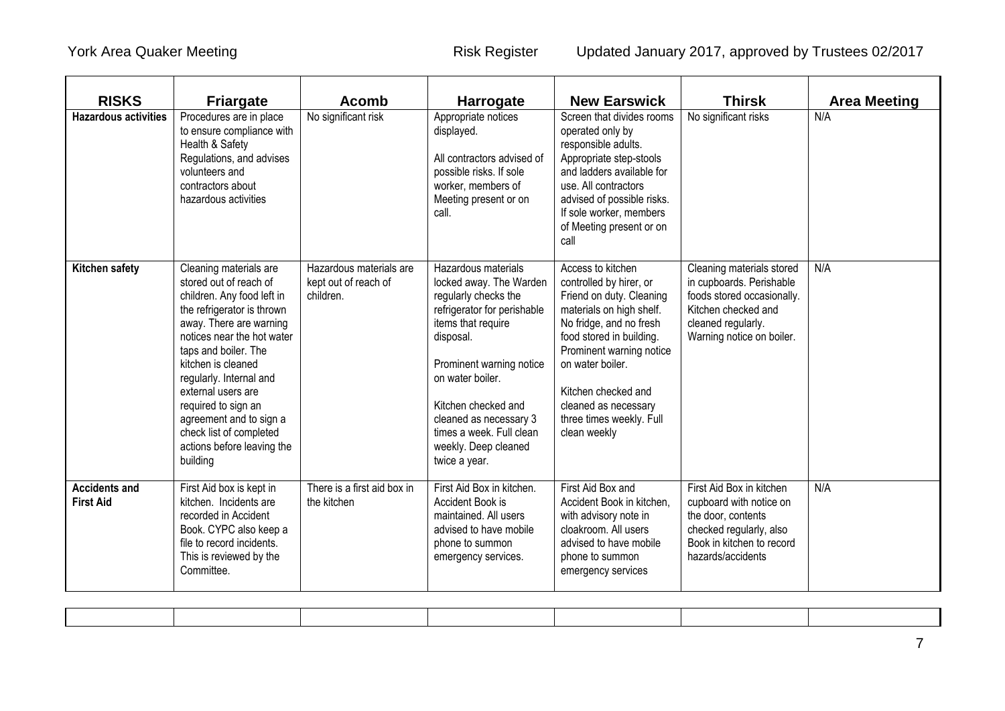| <b>RISKS</b>                             | <b>Friargate</b>                                                                                                                                                                                                                                                                                                                                                                            | <b>Acomb</b>                                                 | <b>Harrogate</b>                                                                                                                                                                                                                                                                                               | <b>New Earswick</b>                                                                                                                                                                                                                                                                                    | <b>Thirsk</b>                                                                                                                                                 | <b>Area Meeting</b> |
|------------------------------------------|---------------------------------------------------------------------------------------------------------------------------------------------------------------------------------------------------------------------------------------------------------------------------------------------------------------------------------------------------------------------------------------------|--------------------------------------------------------------|----------------------------------------------------------------------------------------------------------------------------------------------------------------------------------------------------------------------------------------------------------------------------------------------------------------|--------------------------------------------------------------------------------------------------------------------------------------------------------------------------------------------------------------------------------------------------------------------------------------------------------|---------------------------------------------------------------------------------------------------------------------------------------------------------------|---------------------|
| <b>Hazardous activities</b>              | Procedures are in place<br>to ensure compliance with<br>Health & Safety<br>Regulations, and advises<br>volunteers and<br>contractors about<br>hazardous activities                                                                                                                                                                                                                          | No significant risk                                          | Appropriate notices<br>displayed.<br>All contractors advised of<br>possible risks. If sole<br>worker, members of<br>Meeting present or on<br>call.                                                                                                                                                             | Screen that divides rooms<br>operated only by<br>responsible adults.<br>Appropriate step-stools<br>and ladders available for<br>use. All contractors<br>advised of possible risks.<br>If sole worker, members<br>of Meeting present or on<br>call                                                      | No significant risks                                                                                                                                          | N/A                 |
| Kitchen safety                           | Cleaning materials are<br>stored out of reach of<br>children. Any food left in<br>the refrigerator is thrown<br>away. There are warning<br>notices near the hot water<br>taps and boiler. The<br>kitchen is cleaned<br>regularly. Internal and<br>external users are<br>required to sign an<br>agreement and to sign a<br>check list of completed<br>actions before leaving the<br>building | Hazardous materials are<br>kept out of reach of<br>children. | Hazardous materials<br>locked away. The Warden<br>regularly checks the<br>refrigerator for perishable<br>items that require<br>disposal.<br>Prominent warning notice<br>on water boiler.<br>Kitchen checked and<br>cleaned as necessary 3<br>times a week. Full clean<br>weekly. Deep cleaned<br>twice a year. | Access to kitchen<br>controlled by hirer, or<br>Friend on duty. Cleaning<br>materials on high shelf.<br>No fridge, and no fresh<br>food stored in building.<br>Prominent warning notice<br>on water boiler.<br>Kitchen checked and<br>cleaned as necessary<br>three times weekly. Full<br>clean weekly | Cleaning materials stored<br>in cupboards. Perishable<br>foods stored occasionally.<br>Kitchen checked and<br>cleaned regularly.<br>Warning notice on boiler. | N/A                 |
| <b>Accidents and</b><br><b>First Aid</b> | First Aid box is kept in<br>kitchen. Incidents are<br>recorded in Accident<br>Book. CYPC also keep a<br>file to record incidents.<br>This is reviewed by the<br>Committee.                                                                                                                                                                                                                  | There is a first aid box in<br>the kitchen                   | First Aid Box in kitchen.<br>Accident Book is<br>maintained. All users<br>advised to have mobile<br>phone to summon<br>emergency services.                                                                                                                                                                     | First Aid Box and<br>Accident Book in kitchen,<br>with advisory note in<br>cloakroom. All users<br>advised to have mobile<br>phone to summon<br>emergency services                                                                                                                                     | First Aid Box in kitchen<br>cupboard with notice on<br>the door, contents<br>checked regularly, also<br>Book in kitchen to record<br>hazards/accidents        | N/A                 |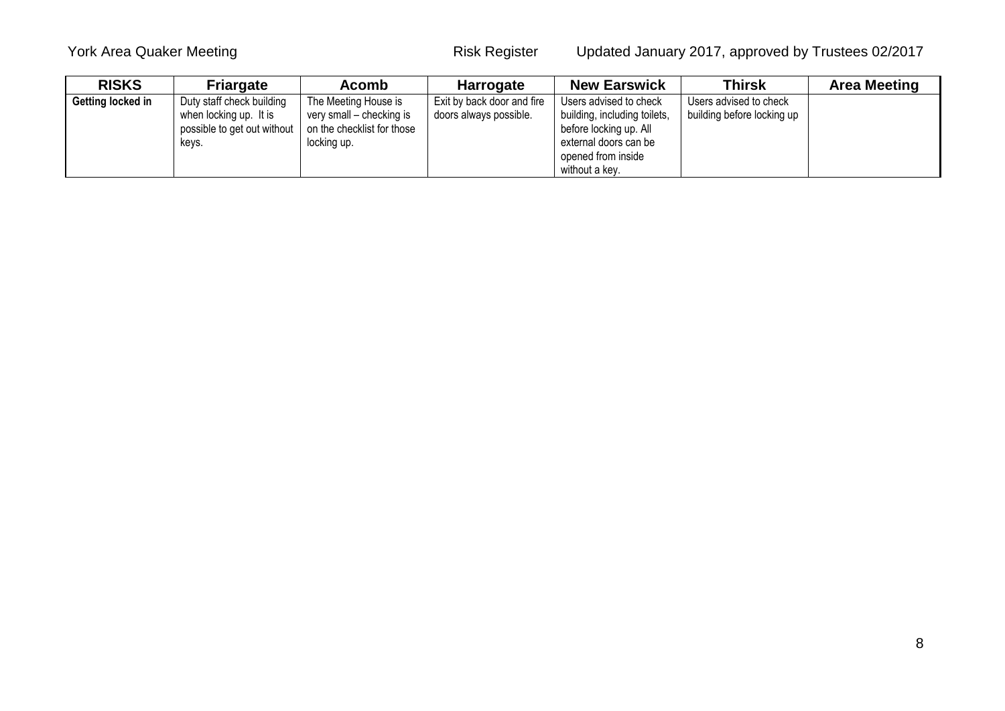| <b>RISKS</b>      | <b>Friargate</b>                                                                            | <b>Acomb</b>                                                                                  | <b>Harrogate</b>                                     | <b>New Earswick</b>                                                                                                             | <b>Thirsk</b>                                        | <b>Area Meeting</b> |
|-------------------|---------------------------------------------------------------------------------------------|-----------------------------------------------------------------------------------------------|------------------------------------------------------|---------------------------------------------------------------------------------------------------------------------------------|------------------------------------------------------|---------------------|
| Getting locked in | Duty staff check building<br>when locking up. It is<br>possible to get out without<br>keys. | The Meeting House is<br>very small - checking is<br>on the checklist for those<br>locking up. | Exit by back door and fire<br>doors always possible. | Users advised to check<br>building, including toilets,<br>before locking up. All<br>external doors can be<br>opened from inside | Users advised to check<br>building before locking up |                     |
|                   |                                                                                             |                                                                                               |                                                      | without a kev.                                                                                                                  |                                                      |                     |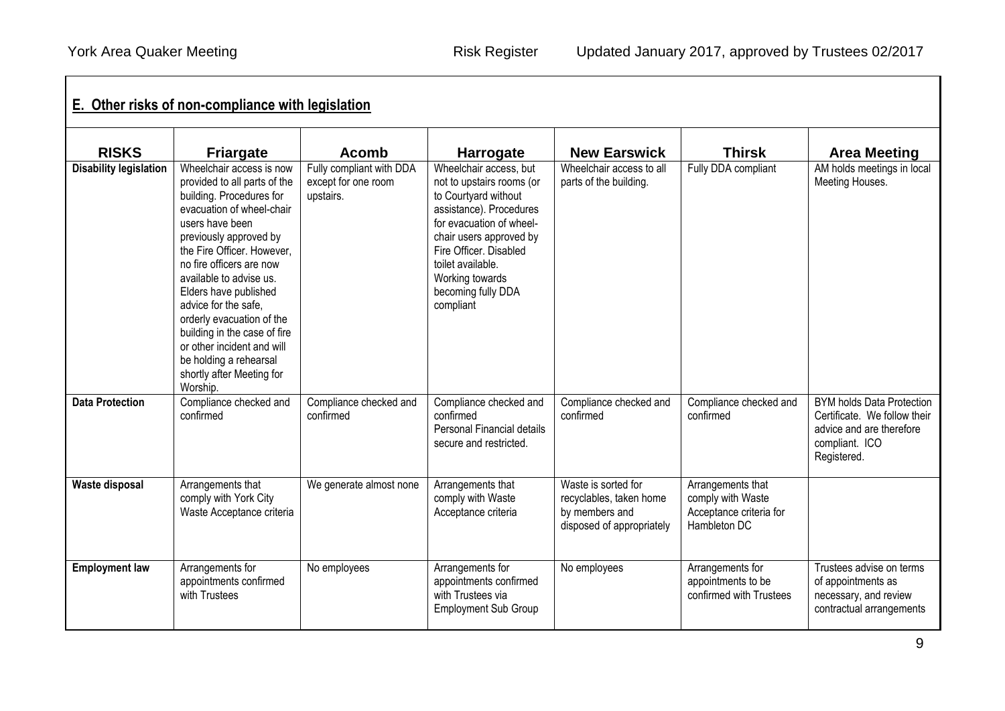| <b>RISKS</b>                  | <b>Friargate</b>                                                                                                                                                                                                                                                                                                                                                                                                                                                   | <b>Acomb</b>                                                 | <b>Harrogate</b>                                                                                                                                                                                                                                                   | <b>New Earswick</b>                                                                           | <b>Thirsk</b>                                                                     | <b>Area Meeting</b>                                                                                                           |
|-------------------------------|--------------------------------------------------------------------------------------------------------------------------------------------------------------------------------------------------------------------------------------------------------------------------------------------------------------------------------------------------------------------------------------------------------------------------------------------------------------------|--------------------------------------------------------------|--------------------------------------------------------------------------------------------------------------------------------------------------------------------------------------------------------------------------------------------------------------------|-----------------------------------------------------------------------------------------------|-----------------------------------------------------------------------------------|-------------------------------------------------------------------------------------------------------------------------------|
| <b>Disability legislation</b> | Wheelchair access is now<br>provided to all parts of the<br>building. Procedures for<br>evacuation of wheel-chair<br>users have been<br>previously approved by<br>the Fire Officer. However,<br>no fire officers are now<br>available to advise us.<br>Elders have published<br>advice for the safe.<br>orderly evacuation of the<br>building in the case of fire<br>or other incident and will<br>be holding a rehearsal<br>shortly after Meeting for<br>Worship. | Fully compliant with DDA<br>except for one room<br>upstairs. | Wheelchair access, but<br>not to upstairs rooms (or<br>to Courtyard without<br>assistance). Procedures<br>for evacuation of wheel-<br>chair users approved by<br>Fire Officer. Disabled<br>toilet available.<br>Working towards<br>becoming fully DDA<br>compliant | Wheelchair access to all<br>parts of the building.                                            | Fully DDA compliant                                                               | AM holds meetings in local<br>Meeting Houses.                                                                                 |
| <b>Data Protection</b>        | Compliance checked and<br>confirmed                                                                                                                                                                                                                                                                                                                                                                                                                                | Compliance checked and<br>confirmed                          | Compliance checked and<br>confirmed<br>Personal Financial details<br>secure and restricted.                                                                                                                                                                        | Compliance checked and<br>confirmed                                                           | Compliance checked and<br>confirmed                                               | <b>BYM holds Data Protection</b><br>Certificate. We follow their<br>advice and are therefore<br>compliant. ICO<br>Registered. |
| <b>Waste disposal</b>         | Arrangements that<br>comply with York City<br>Waste Acceptance criteria                                                                                                                                                                                                                                                                                                                                                                                            | We generate almost none                                      | Arrangements that<br>comply with Waste<br>Acceptance criteria                                                                                                                                                                                                      | Waste is sorted for<br>recyclables, taken home<br>by members and<br>disposed of appropriately | Arrangements that<br>comply with Waste<br>Acceptance criteria for<br>Hambleton DC |                                                                                                                               |
| <b>Employment law</b>         | Arrangements for<br>appointments confirmed<br>with Trustees                                                                                                                                                                                                                                                                                                                                                                                                        | No employees                                                 | Arrangements for<br>appointments confirmed<br>with Trustees via<br><b>Employment Sub Group</b>                                                                                                                                                                     | No employees                                                                                  | Arrangements for<br>appointments to be<br>confirmed with Trustees                 | Trustees advise on terms<br>of appointments as<br>necessary, and review<br>contractual arrangements                           |